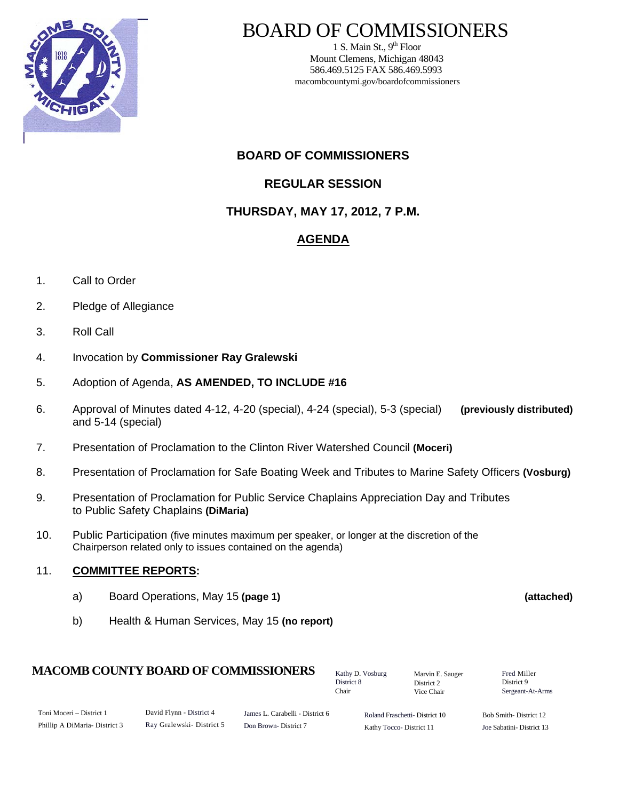

1 S. Main St.,  $9<sup>th</sup>$  Floor Mount Clemens, Michigan 48043 586.469.5125 FAX 586.469.5993 macombcountymi.gov/boardofcommissioners

**BOARD OF COMMISSIONERS** 

**REGULAR SESSION** 

**THURSDAY, MAY 17, 2012, 7 P.M.** 

# **AGENDA**

- 1. Call to Order
- 2. Pledge of Allegiance
- 3. Roll Call
- 4. Invocation by **Commissioner Ray Gralewski**
- 5. Adoption of Agenda, **AS AMENDED, TO INCLUDE #16**
- 6. Approval of Minutes dated 4-12, 4-20 (special), 4-24 (special), 5-3 (special) **(previously distributed)**  and 5-14 (special)
- 7. Presentation of Proclamation to the Clinton River Watershed Council **(Moceri)**
- 8. Presentation of Proclamation for Safe Boating Week and Tributes to Marine Safety Officers **(Vosburg)**
- 9. Presentation of Proclamation for Public Service Chaplains Appreciation Day and Tributes to Public Safety Chaplains **(DiMaria)**
- 10. Public Participation (five minutes maximum per speaker, or longer at the discretion of the Chairperson related only to issues contained on the agenda)

#### 11. **COMMITTEE REPORTS:**

- a) Board Operations, May 15 **(page 1) (attached)**
- b) Health & Human Services, May 15 **(no report)**

### **MACOMB COUNTY BOARD OF COMMISSIONERS** Factor D. Vosburg Marvin F. Sauger Fred Miller

Toni Moceri – District 1 Phillip A DiMaria- District 3 David Flynn - District 4 Ray Gralewski- District 5 Roland Fraschetti- District 10 Kathy Tocco- District 11 James L. Carabelli - District 6 Don Brown- District 7 Bob Smith- District 12 Joe Sabatini- District 13

Kathy D. Vosburg District 8 Chair

Marvin E. Sauger District 2 Vice Chair

District 9 Sergeant-At-Arms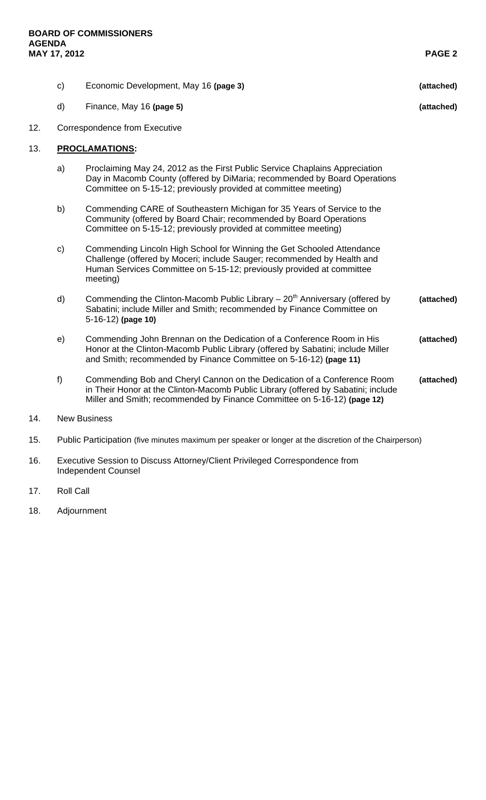13.

| MAY 17, 2012   |                               |                                                                                                                                                                                                                                          | <b>PAGE 2</b> |
|----------------|-------------------------------|------------------------------------------------------------------------------------------------------------------------------------------------------------------------------------------------------------------------------------------|---------------|
|                | $\mathsf{c})$                 | Economic Development, May 16 (page 3)                                                                                                                                                                                                    | (attached)    |
|                | d)                            | Finance, May 16 (page 5)                                                                                                                                                                                                                 | (attached)    |
| 12.            | Correspondence from Executive |                                                                                                                                                                                                                                          |               |
| 13.            | <b>PROCLAMATIONS:</b>         |                                                                                                                                                                                                                                          |               |
|                | a)                            | Proclaiming May 24, 2012 as the First Public Service Chaplains Appreciation<br>Day in Macomb County (offered by DiMaria; recommended by Board Operations<br>Committee on 5-15-12; previously provided at committee meeting)              |               |
|                | b)                            | Commending CARE of Southeastern Michigan for 35 Years of Service to the<br>Community (offered by Board Chair; recommended by Board Operations<br>Committee on 5-15-12; previously provided at committee meeting)                         |               |
|                | c)                            | Commending Lincoln High School for Winning the Get Schooled Attendance<br>Challenge (offered by Moceri; include Sauger; recommended by Health and<br>Human Services Committee on 5-15-12; previously provided at committee<br>meeting)   |               |
|                | d)                            | Commending the Clinton-Macomb Public Library $-20th$ Anniversary (offered by<br>Sabatini; include Miller and Smith; recommended by Finance Committee on<br>5-16-12) (page 10)                                                            | (attached)    |
|                | e)                            | Commending John Brennan on the Dedication of a Conference Room in His<br>Honor at the Clinton-Macomb Public Library (offered by Sabatini; include Miller<br>and Smith; recommended by Finance Committee on 5-16-12) (page 11)            | (attached)    |
|                | $f$ )                         | Commending Bob and Cheryl Cannon on the Dedication of a Conference Room<br>in Their Honor at the Clinton-Macomb Public Library (offered by Sabatini; include<br>Miller and Smith; recommended by Finance Committee on 5-16-12) (page 12) | (attached)    |
| $\overline{A}$ | Nou Duoinnea                  |                                                                                                                                                                                                                                          |               |

- 14. New Business
- 15. Public Participation (five minutes maximum per speaker or longer at the discretion of the Chairperson)
- 16. Executive Session to Discuss Attorney/Client Privileged Correspondence from Independent Counsel
- 17. Roll Call
- 18. Adjournment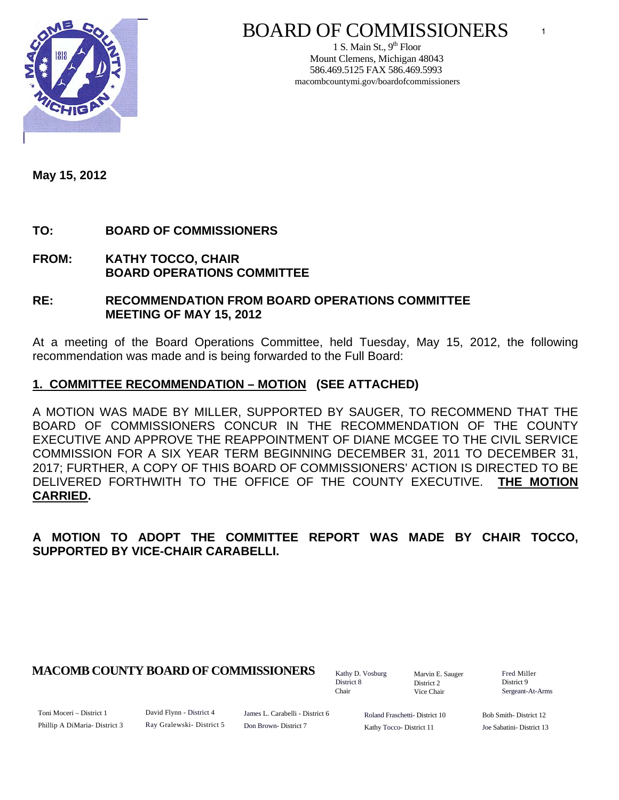

1 S. Main St.,  $9<sup>th</sup>$  Floor Mount Clemens, Michigan 48043 586.469.5125 FAX 586.469.5993 macombcountymi.gov/boardofcommissioners

**May 15, 2012** 

# **TO: BOARD OF COMMISSIONERS**

**FROM: KATHY TOCCO, CHAIR BOARD OPERATIONS COMMITTEE** 

#### **RE: RECOMMENDATION FROM BOARD OPERATIONS COMMITTEE MEETING OF MAY 15, 2012**

At a meeting of the Board Operations Committee, held Tuesday, May 15, 2012, the following recommendation was made and is being forwarded to the Full Board:

# **1. COMMITTEE RECOMMENDATION – MOTION (SEE ATTACHED)**

A MOTION WAS MADE BY MILLER, SUPPORTED BY SAUGER, TO RECOMMEND THAT THE BOARD OF COMMISSIONERS CONCUR IN THE RECOMMENDATION OF THE COUNTY EXECUTIVE AND APPROVE THE REAPPOINTMENT OF DIANE MCGEE TO THE CIVIL SERVICE COMMISSION FOR A SIX YEAR TERM BEGINNING DECEMBER 31, 2011 TO DECEMBER 31, 2017; FURTHER, A COPY OF THIS BOARD OF COMMISSIONERS' ACTION IS DIRECTED TO BE DELIVERED FORTHWITH TO THE OFFICE OF THE COUNTY EXECUTIVE. **THE MOTION CARRIED.**

# **A MOTION TO ADOPT THE COMMITTEE REPORT WAS MADE BY CHAIR TOCCO, SUPPORTED BY VICE-CHAIR CARABELLI.**

# **MACOMB COUNTY BOARD OF COMMISSIONERS** Factor D. Vosburg Marvin F. Sauger Fred Miller

Kathy D. Vosburg District 8 Chair

Marvin E. Sauger District 2 Vice Chair

District 9 Sergeant-At-Arms

1

Toni Moceri – District 1 Phillip A DiMaria- District 3 David Flynn - District 4 Ray Gralewski- District 5

James L. Carabelli - District 6 Don Brown- District 7

Roland Fraschetti- District 10 Kathy Tocco- District 11

Bob Smith- District 12 Joe Sabatini- District 13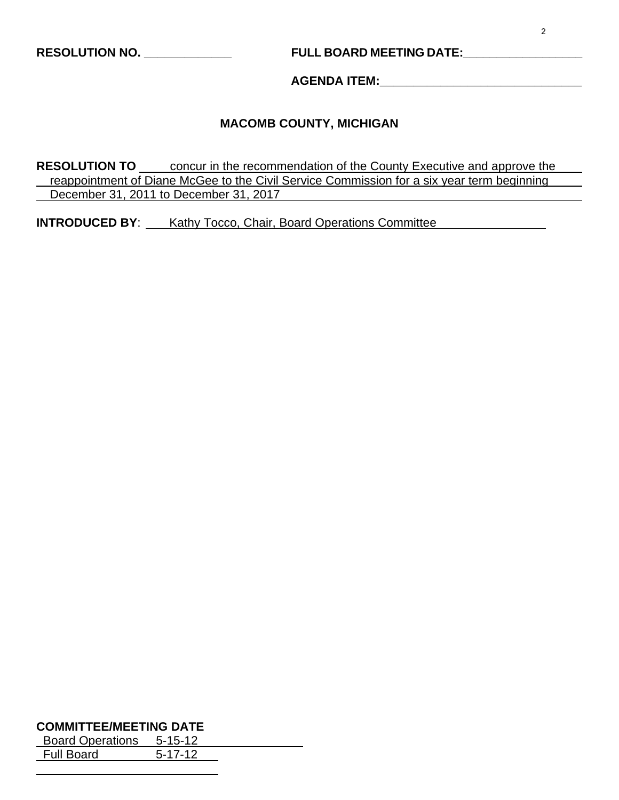# **RESOLUTION NO. \_\_\_\_\_\_\_\_\_\_\_\_\_ FULL BOARD MEETING DATE:\_\_\_\_\_\_\_\_\_\_\_\_\_\_\_\_\_\_**

**AGENDA ITEM:\_\_\_\_\_\_\_\_\_\_\_\_\_\_\_\_\_\_\_\_\_\_\_\_\_\_\_\_\_\_** 

#### **MACOMB COUNTY, MICHIGAN**

**RESOLUTION TO** concur in the recommendation of the County Executive and approve the reappointment of Diane McGee to the Civil Service Commission for a six year term beginning December 31, 2011 to December 31, 2017

**INTRODUCED BY:** Kathy Tocco, Chair, Board Operations Committee

#### **COMMITTEE/MEETING DATE**

 $\overline{a}$ 

Board Operations 5-15-12 Full Board 5-17-12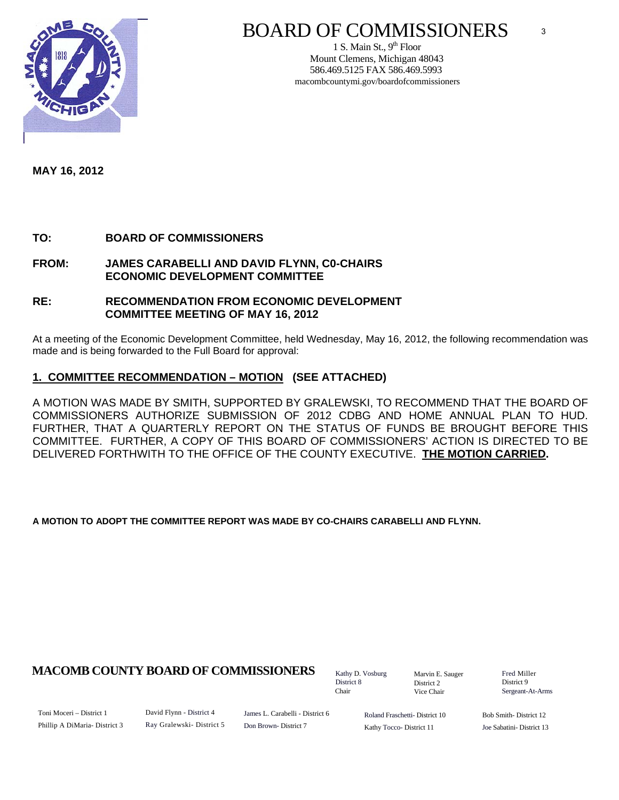

1 S. Main St.,  $9<sup>th</sup>$  Floor Mount Clemens, Michigan 48043 586.469.5125 FAX 586.469.5993 macombcountymi.gov/boardofcommissioners

**MAY 16, 2012** 

**TO: BOARD OF COMMISSIONERS** 

**FROM: JAMES CARABELLI AND DAVID FLYNN, C0-CHAIRS ECONOMIC DEVELOPMENT COMMITTEE** 

#### **RE: RECOMMENDATION FROM ECONOMIC DEVELOPMENT COMMITTEE MEETING OF MAY 16, 2012**

At a meeting of the Economic Development Committee, held Wednesday, May 16, 2012, the following recommendation was made and is being forwarded to the Full Board for approval:

#### **1. COMMITTEE RECOMMENDATION – MOTION (SEE ATTACHED)**

A MOTION WAS MADE BY SMITH, SUPPORTED BY GRALEWSKI, TO RECOMMEND THAT THE BOARD OF COMMISSIONERS AUTHORIZE SUBMISSION OF 2012 CDBG AND HOME ANNUAL PLAN TO HUD. FURTHER, THAT A QUARTERLY REPORT ON THE STATUS OF FUNDS BE BROUGHT BEFORE THIS COMMITTEE. FURTHER, A COPY OF THIS BOARD OF COMMISSIONERS' ACTION IS DIRECTED TO BE DELIVERED FORTHWITH TO THE OFFICE OF THE COUNTY EXECUTIVE. **THE MOTION CARRIED.** 

**A MOTION TO ADOPT THE COMMITTEE REPORT WAS MADE BY CO-CHAIRS CARABELLI AND FLYNN.** 

### **MACOMB COUNTY BOARD OF COMMISSIONERS** Fathy D. Vosburg Martin E. Square Fred Miller

Kathy D. Vosburg District 8 Chair

Marvin E. Sauger District 2 Vice Chair

District 9 Sergeant-At-Arms

3

Toni Moceri – District 1 Phillip A DiMaria- District 3 David Flynn - District 4 Ray Gralewski- District 5 James L. Carabelli - District 6 Don Brown- District 7

Roland Fraschetti- District 10 Kathy Tocco- District 11

Bob Smith- District 12 Joe Sabatini- District 13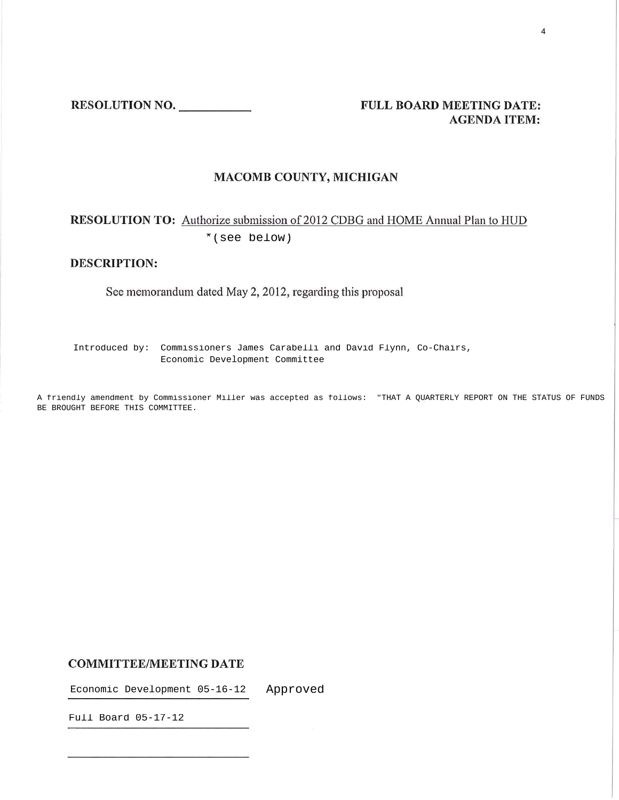RESOLUTION NO.

#### FULL BOARD MEETING DATE: **AGENDA ITEM:**

#### **MACOMB COUNTY, MICHIGAN**

# RESOLUTION TO: Authorize submission of 2012 CDBG and HOME Annual Plan to HUD

Introduced by: Commissioners James Carabelli and David Flynn, Co-Chairs, Economic Development Committee \* (see below)<br>
DESCRIPTION:<br>
See memorandum dated May 2, 2012,<br>
Introduced by: Commissioners James Cara<br>
Economic Development Com<br>
A friendly amendment by Commissioner Miller was acce<br>
BE BROUGHT BEFORE THIS COMMITTEE.

A friendly amendment by Commissioner Miller was accepted as follows: "THAT A QUARTERLY REPORT ON THE STATUS OF FUNDS

#### **COMMITTEE/MEETING DATE**

Economic Development 05-16-12 Approved

Full Board 05-17-12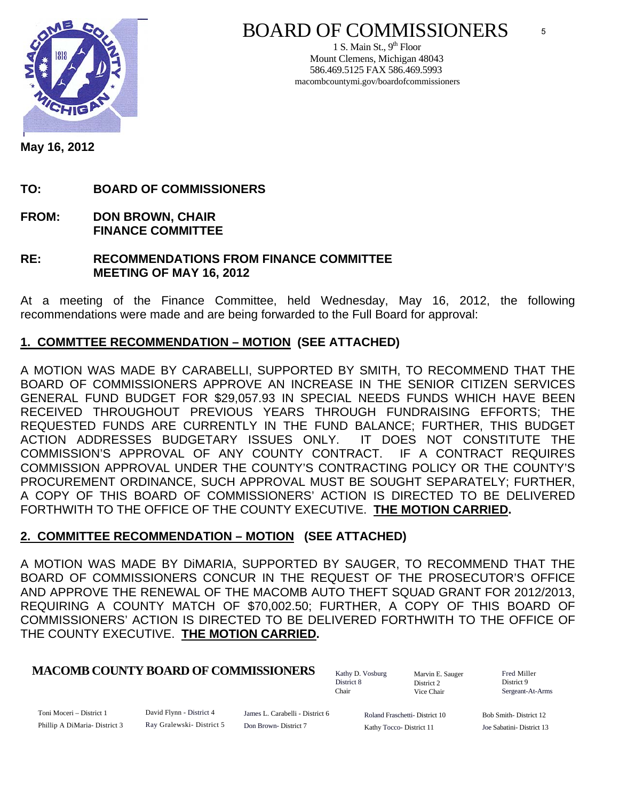

1 S. Main St.,  $9<sup>th</sup>$  Floor Mount Clemens, Michigan 48043 586.469.5125 FAX 586.469.5993 macombcountymi.gov/boardofcommissioners

**May 16, 2012** 

**TO: BOARD OF COMMISSIONERS** 

- **FROM: DON BROWN, CHAIR FINANCE COMMITTEE**
- **RE: RECOMMENDATIONS FROM FINANCE COMMITTEE MEETING OF MAY 16, 2012**

At a meeting of the Finance Committee, held Wednesday, May 16, 2012, the following recommendations were made and are being forwarded to the Full Board for approval:

# **1. COMMTTEE RECOMMENDATION – MOTION (SEE ATTACHED)**

A MOTION WAS MADE BY CARABELLI, SUPPORTED BY SMITH, TO RECOMMEND THAT THE BOARD OF COMMISSIONERS APPROVE AN INCREASE IN THE SENIOR CITIZEN SERVICES GENERAL FUND BUDGET FOR \$29,057.93 IN SPECIAL NEEDS FUNDS WHICH HAVE BEEN RECEIVED THROUGHOUT PREVIOUS YEARS THROUGH FUNDRAISING EFFORTS; THE REQUESTED FUNDS ARE CURRENTLY IN THE FUND BALANCE; FURTHER, THIS BUDGET ACTION ADDRESSES BUDGETARY ISSUES ONLY. IT DOES NOT CONSTITUTE THE COMMISSION'S APPROVAL OF ANY COUNTY CONTRACT. IF A CONTRACT REQUIRES COMMISSION APPROVAL UNDER THE COUNTY'S CONTRACTING POLICY OR THE COUNTY'S PROCUREMENT ORDINANCE, SUCH APPROVAL MUST BE SOUGHT SEPARATELY; FURTHER, A COPY OF THIS BOARD OF COMMISSIONERS' ACTION IS DIRECTED TO BE DELIVERED FORTHWITH TO THE OFFICE OF THE COUNTY EXECUTIVE. **THE MOTION CARRIED.** 

### **2. COMMITTEE RECOMMENDATION – MOTION (SEE ATTACHED)**

A MOTION WAS MADE BY DiMARIA, SUPPORTED BY SAUGER, TO RECOMMEND THAT THE BOARD OF COMMISSIONERS CONCUR IN THE REQUEST OF THE PROSECUTOR'S OFFICE AND APPROVE THE RENEWAL OF THE MACOMB AUTO THEFT SQUAD GRANT FOR 2012/2013, REQUIRING A COUNTY MATCH OF \$70,002.50; FURTHER, A COPY OF THIS BOARD OF COMMISSIONERS' ACTION IS DIRECTED TO BE DELIVERED FORTHWITH TO THE OFFICE OF THE COUNTY EXECUTIVE. **THE MOTION CARRIED.** 

### **MACOMB COUNTY BOARD OF COMMISSIONERS** Fathy D. Vosburg Marvin F. Sauger Fred Miller

Kathy D. Vosburg District 8 Chair

Marvin E. Sauger District 2 Vice Chair

District 9 Sergeant-At-Arms

5

Toni Moceri – District 1 Phillip A DiMaria- District 3 David Flynn - District 4 Ray Gralewski- District 5

James L. Carabelli - District 6 Don Brown- District 7

Roland Fraschetti- District 10 Kathy Tocco- District 11

Bob Smith- District 12 Joe Sabatini- District 13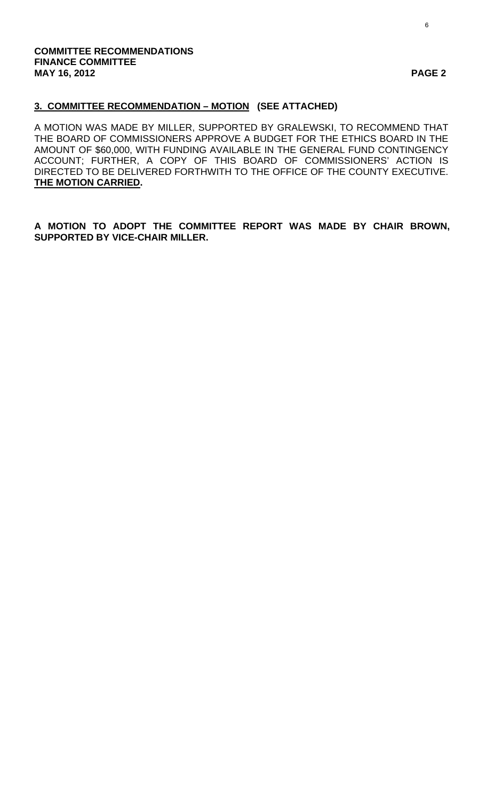#### **COMMITTEE RECOMMENDATIONS FINANCE COMMITTEE MAY 16, 2012 PAGE 2**

# **3. COMMITTEE RECOMMENDATION – MOTION (SEE ATTACHED)**

A MOTION WAS MADE BY MILLER, SUPPORTED BY GRALEWSKI, TO RECOMMEND THAT THE BOARD OF COMMISSIONERS APPROVE A BUDGET FOR THE ETHICS BOARD IN THE AMOUNT OF \$60,000, WITH FUNDING AVAILABLE IN THE GENERAL FUND CONTINGENCY ACCOUNT; FURTHER, A COPY OF THIS BOARD OF COMMISSIONERS' ACTION IS DIRECTED TO BE DELIVERED FORTHWITH TO THE OFFICE OF THE COUNTY EXECUTIVE. **THE MOTION CARRIED.** 

# **A MOTION TO ADOPT THE COMMITTEE REPORT WAS MADE BY CHAIR BROWN, SUPPORTED BY VICE-CHAIR MILLER.**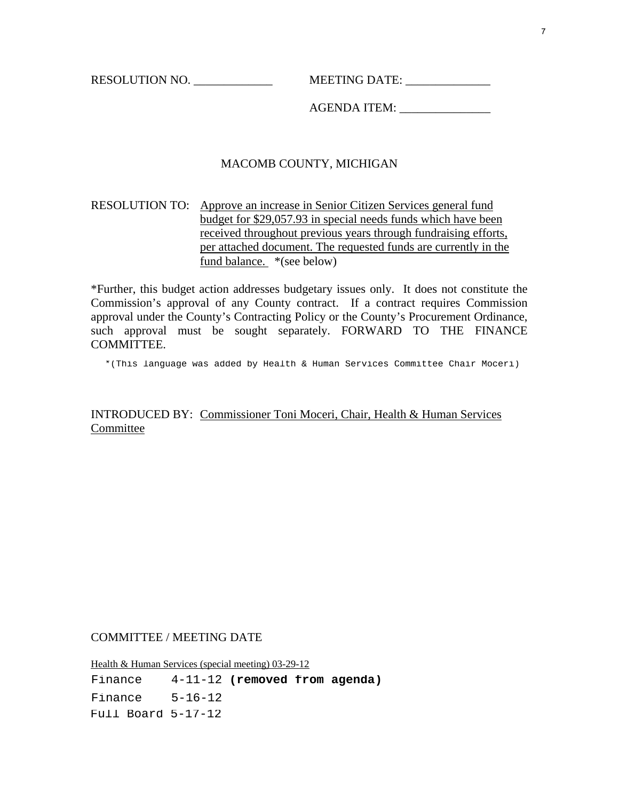RESOLUTION NO. \_\_\_\_\_\_\_\_\_\_\_\_\_ MEETING DATE: \_\_\_\_\_\_\_\_\_\_\_\_\_\_

AGENDA ITEM: \_\_\_\_\_\_\_\_\_\_\_\_\_\_\_

#### MACOMB COUNTY, MICHIGAN

#### RESOLUTION TO: Approve an increase in Senior Citizen Services general fund budget for \$29,057.93 in special needs funds which have been received throughout previous years through fundraising efforts, per attached document. The requested funds are currently in the fund balance. \*(see below)

\*Further, this budget action addresses budgetary issues only. It does not constitute the Commission's approval of any County contract. If a contract requires Commission approval under the County's Contracting Policy or the County's Procurement Ordinance, such approval must be sought separately. FORWARD TO THE FINANCE **COMMITTEE.** 

\*(This language was added by Health & Human Services Committee Chair Moceri)

INTRODUCED BY: Commissioner Toni Moceri, Chair, Health & Human Services Committee

COMMITTEE / MEETING DATE

Health & Human Services (special meeting) 03-29-12 Finance Finance 4-11-12 **(removed from agenda)** Finance 5-16-12 Full Board 5-17-12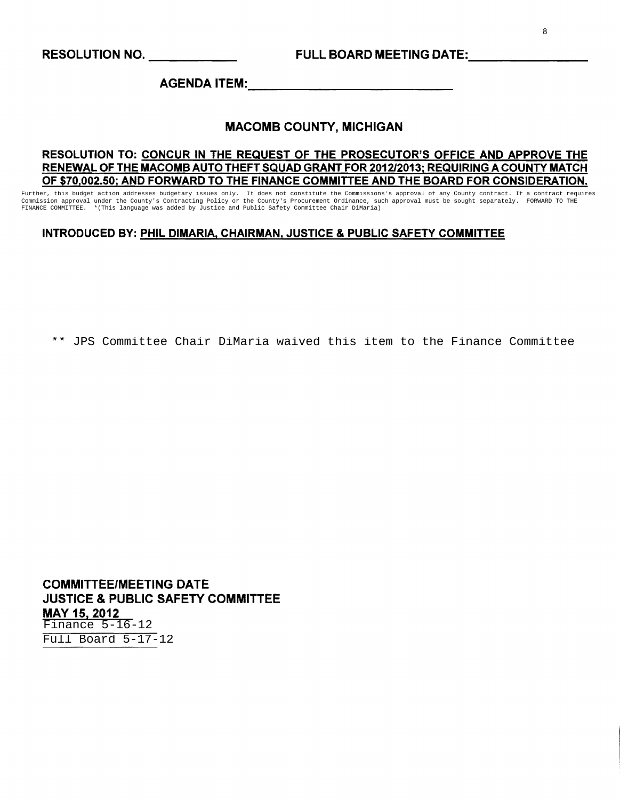AGENDA ITEM:

#### MACOMB COUNTY, MICHIGAN

#### RESOLUTION TO: CONCUR IN THE REQUEST OF THE PROSECUTOR'S OFFICE AND APPROVE THE RENEWAL OF THE MACOMB AUTO THEFT SQUAD GRANT FOR 201212013; REQUIRING A COUNTY MATCH OF \$70,002.50; AND FORWARD TO THE FINANCE COMMITTEE AND THE BOARD FOR CONSIDERATION.

Further, this budget action addresses budgetary issues only. It does not constitute the Commissions's approval of any County contract. If a contract requires Commission approval under the County's Contracting Policy or the County's Procurement Ordinance, such approval must be sought separately. FORWARD TO THE<br>FINANCE COMMITTEE. \*(This language was added by Justice and Public Sa \*(This language was added by Justice and Public Safety Committee Chair DiMaria)

#### INTRODUCED BY: PHIL DIMARIA, CHAIRMAN, JUSTICE & PUBLIC SAFETY COMMITTEE

\*\* JPS Committee Chair DiMaria waived this item to the Finance Committee

COMMITTEE/MEETING DATE JUSTICE & PUBLIC SAFETY COMMITTEE MAY 15, 2012 Finance 5-16-12 Full Board 5-17-12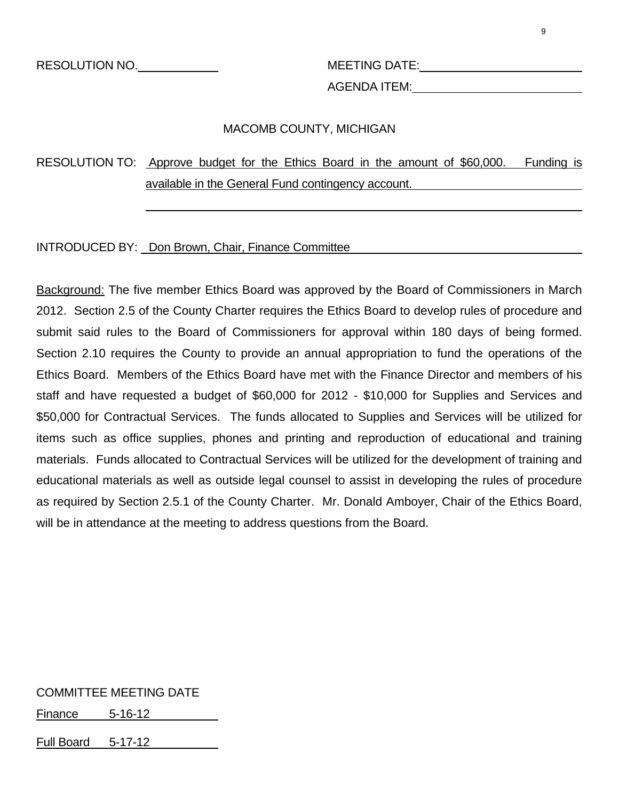AGENDA ITEM:

# MACOMB COUNTY, MICHIGAN

# RESOLUTION TO: Approve budget for the Ethics Board in the amount of \$60,000. Funding is available in the General Fund contingency account.

#### INTRODUCED BY: Don Brown, Chair, Finance Committee

l

Background: The five member Ethics Board was approved by the Board of Commissioners in March 2012. Section 2.5 of the County Charter requires the Ethics Board to develop rules of procedure and submit said rules to the Board of Commissioners for approval within 180 days of being formed. Section 2.10 requires the County to provide an annual appropriation to fund the operations of the Ethics Board. Members of the Ethics Board have met with the Finance Director and members of his staff and have requested a budget of \$60,000 for 2012 - \$10,000 for Supplies and Services and \$50,000 for Contractual Services. The funds allocated to Supplies and Services will be utilized for items such as office supplies, phones and printing and reproduction of educational and training materials. Funds allocated to Contractual Services will be utilized for the development of training and educational materials as well as outside legal counsel to assist in developing the rules of procedure as required by Section 2.5.1 of the County Charter. Mr. Donald Amboyer, Chair of the Ethics Board, will be in attendance at the meeting to address questions from the Board.

COMMITTEE MEETING DATE

Finance 5-16-12

Full Board 5-17-12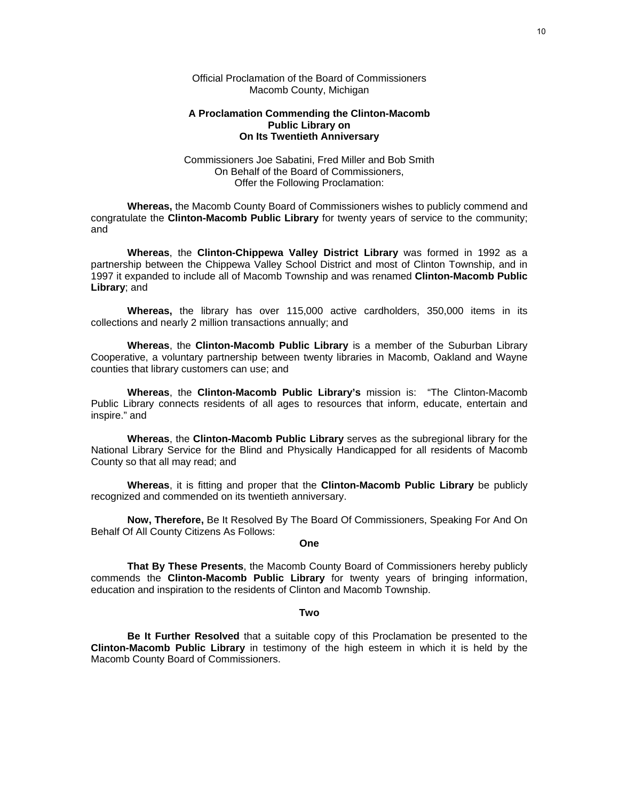Official Proclamation of the Board of Commissioners Macomb County, Michigan

#### **A Proclamation Commending the Clinton-Macomb Public Library on On Its Twentieth Anniversary**

Commissioners Joe Sabatini, Fred Miller and Bob Smith On Behalf of the Board of Commissioners, Offer the Following Proclamation:

**Whereas,** the Macomb County Board of Commissioners wishes to publicly commend and congratulate the **Clinton-Macomb Public Library** for twenty years of service to the community; and

**Whereas**, the **Clinton-Chippewa Valley District Library** was formed in 1992 as a partnership between the Chippewa Valley School District and most of Clinton Township, and in 1997 it expanded to include all of Macomb Township and was renamed **Clinton-Macomb Public Library**; and

**Whereas,** the library has over 115,000 active cardholders, 350,000 items in its collections and nearly 2 million transactions annually; and

**Whereas**, the **Clinton-Macomb Public Library** is a member of the Suburban Library Cooperative, a voluntary partnership between twenty libraries in Macomb, Oakland and Wayne counties that library customers can use; and

**Whereas**, the **Clinton-Macomb Public Library's** mission is: "The Clinton-Macomb Public Library connects residents of all ages to resources that inform, educate, entertain and inspire." and

**Whereas**, the **Clinton-Macomb Public Library** serves as the subregional library for the National Library Service for the Blind and Physically Handicapped for all residents of Macomb County so that all may read; and

**Whereas**, it is fitting and proper that the **Clinton-Macomb Public Library** be publicly recognized and commended on its twentieth anniversary.

**Now, Therefore,** Be It Resolved By The Board Of Commissioners, Speaking For And On Behalf Of All County Citizens As Follows:

**One**

**That By These Presents**, the Macomb County Board of Commissioners hereby publicly commends the **Clinton-Macomb Public Library** for twenty years of bringing information, education and inspiration to the residents of Clinton and Macomb Township.

#### **Two**

**Be It Further Resolved** that a suitable copy of this Proclamation be presented to the **Clinton-Macomb Public Library** in testimony of the high esteem in which it is held by the Macomb County Board of Commissioners.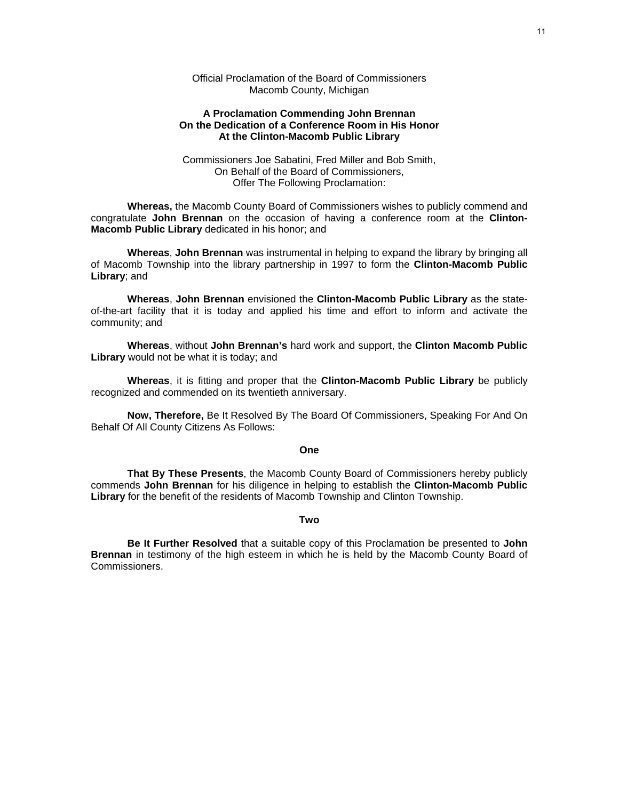Official Proclamation of the Board of Commissioners Macomb County, Michigan

#### **A Proclamation Commending John Brennan On the Dedication of a Conference Room in His Honor At the Clinton-Macomb Public Library**

Commissioners Joe Sabatini, Fred Miller and Bob Smith, On Behalf of the Board of Commissioners, Offer The Following Proclamation:

**Whereas,** the Macomb County Board of Commissioners wishes to publicly commend and congratulate **John Brennan** on the occasion of having a conference room at the **Clinton-Macomb Public Library** dedicated in his honor; and

**Whereas**, **John Brennan** was instrumental in helping to expand the library by bringing all of Macomb Township into the library partnership in 1997 to form the **Clinton-Macomb Public Library**; and

**Whereas**, **John Brennan** envisioned the **Clinton-Macomb Public Library** as the stateof-the-art facility that it is today and applied his time and effort to inform and activate the community; and

**Whereas**, without **John Brennan's** hard work and support, the **Clinton Macomb Public Library** would not be what it is today; and

**Whereas**, it is fitting and proper that the **Clinton-Macomb Public Library** be publicly recognized and commended on its twentieth anniversary.

**Now, Therefore,** Be It Resolved By The Board Of Commissioners, Speaking For And On Behalf Of All County Citizens As Follows:

#### **One**

**That By These Presents**, the Macomb County Board of Commissioners hereby publicly commends **John Brennan** for his diligence in helping to establish the **Clinton-Macomb Public Library** for the benefit of the residents of Macomb Township and Clinton Township.

#### **Two**

**Be It Further Resolved** that a suitable copy of this Proclamation be presented to **John Brennan** in testimony of the high esteem in which he is held by the Macomb County Board of **Commissioners**